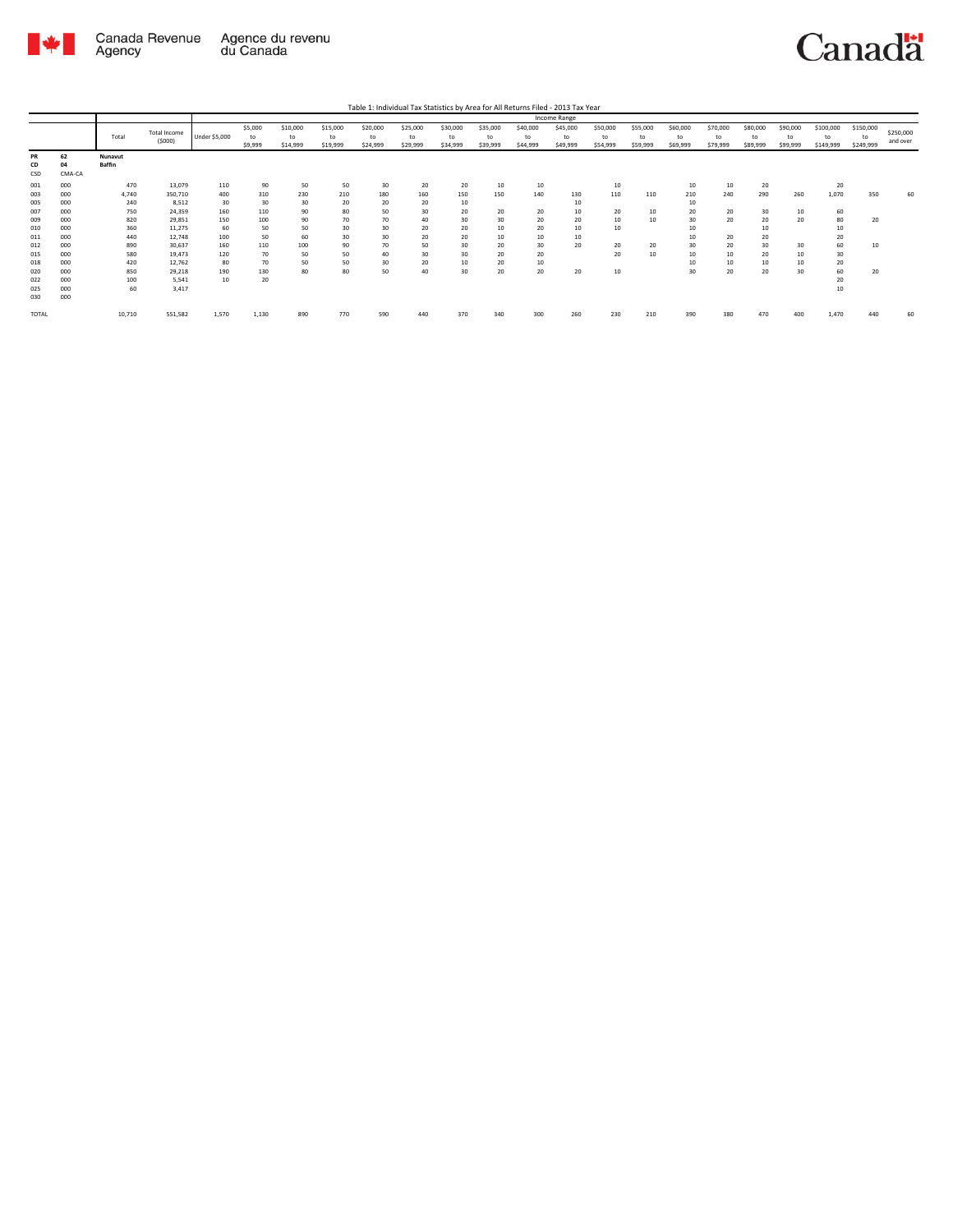

Agency

## Canadä

Total Total Income (\$000) Under \$5,000 \$5,000 to \$9,999 \$10,000 to \$14,999 \$15,000 to \$19,999 \$20,000 to \$24,999 \$25,000 to \$29,999 \$30,000 to \$34,999 \$35,000 to \$39,999 \$40,000 to \$44,999 \$45,000 to \$49,999 \$50,000 to \$54,999 \$55,000 to \$59,999 \$60,000 to \$69,999 \$70,000 to \$79,999 \$80,000 to \$89,999 \$90,000 to \$99,999 \$100,000 to \$149,999 \$150,000 to \$249,999 \$250,000 and over Table 1: Individual Tax Statistics by Area for All Returns Filed - 2013 Tax Year Income Range **PR 62 Nunavut CD 04 Baffin** CSD CMA-CA 001 000 470 13,079 110 90 50 50 30 20 20 10 10 10 10 10 20 20 003 000 4,740 350,710 400 310 230 210 180 160 150 150 140 130 110 110 210 240 290 260 1,070 350 60 005 000 240 8,512 30 30 30 20 20 20 10 10 10 007 000 750 24,359 160 110 90 80 50 30 20 20 20 10 20 10 20 20 30 10 60 009 000 820 29,851 150 100 90 70 70 40 30 30 20 20 10 10 30 20 20 20 80 20 010 000 360 11,275 60 50 50 30 30 20 20 10 20 10 10 10 10 10 011 000 440 12,748 100 50 60 30 30 20 20 10 10 10 10 20 20 20 012 000 890 30,637 160 110 100 90 70 50 30 20 30 20 20 20 30 20 30 30 60 10 015 000 580 19,473 120 70 50 50 40 30 30 20 20 20 10 10 10 20 10 30 018 000 420 12,762 80 70 50 50 30 20 10 20 10 10 10 10 10 20 020 000 850 29,218 190 130 80 80 50 40 30 20 20 20 10 30 20 20 30 60 20  $0.00$   $0.50$   $0.50$   $0.50$   $0.50$   $0.50$   $0.20$   $0.20$   $0.50$   $0.50$   $0.50$   $0.50$   $0.50$   $0.50$   $0.50$   $0.50$   $0.50$   $0.50$   $0.50$   $0.50$   $0.50$   $0.50$   $0.50$   $0.50$   $0.50$   $0.50$   $0.50$   $0.50$   $0.50$   $0.50$   $0.50$   $0.5$ 025 000 60 3,417 10 3,417 10 3,417 10 3,417 10 3,417 10 3,518 10 3 4 5 6 7 7 8 7 9 7 8 7 8 7 8 7 8 7 9 8 7 8 7  $\begin{array}{cc} \text{PR} & \text{62} \\ \text{CD} & \text{04} \\ \text{CSD} & \text{CMA} \\ 001 & 000 \\ 003 & 000 \\ 007 & 000 \\ 009 & 000 \\ 011 & 000 \\ 012 & 000 \\ 012 & 000 \\ 022 & 000 \\ 022 & 000 \\ 023 & 000 \\ 030 & 000 \\ \end{array}$ TOTAL 10,710 551,582 1,570 1,130 890 770 590 440 370 340 300 260 230 210 390 380 470 400 1,470 440 60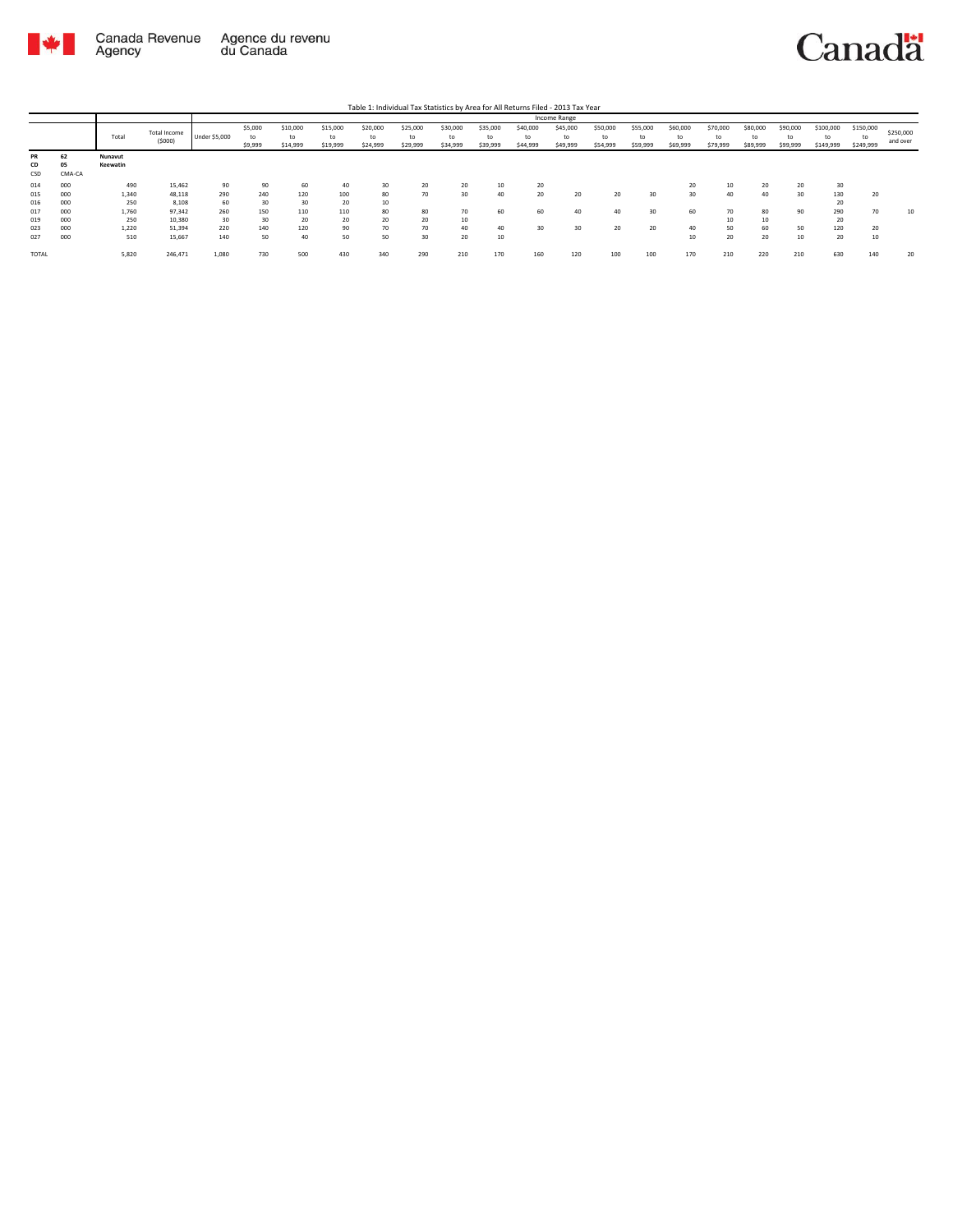

## Canadä

Table 1: Individual Tax Statistics by Area for All Returns Filed - 2013 Tax Year

|       |        |          |              |                      |         |          |          |          |          |          |          |          | <b>Income Range</b> |          |          |          |          |          |          |               |           |          |           |           |           |
|-------|--------|----------|--------------|----------------------|---------|----------|----------|----------|----------|----------|----------|----------|---------------------|----------|----------|----------|----------|----------|----------|---------------|-----------|----------|-----------|-----------|-----------|
|       |        | Total    | Total Income |                      |         |          |          | \$5,000  | \$10,000 | \$15,000 | \$20,000 | \$25,000 | \$30,000            | \$35,000 | \$40,000 | \$45,000 | \$50,000 | \$55,000 | \$60,000 | \$70,000      | \$80,000  | \$90,000 | \$100,000 | \$150,000 | \$250,000 |
|       |        |          | (5000)       | <b>Under \$5,000</b> | to      | to       | to       | to       | to       | to       | to       | to       | to                  | to       | to       | to       | to       | to       | to       | to            |           | and over |           |           |           |
|       |        |          |              |                      | \$9,999 | \$14,999 | \$19,999 | \$24,999 | \$29,999 | \$34,999 | \$39,999 | \$44,999 | \$49,999            | \$54,999 | \$59,999 | \$69,999 | \$79,999 | \$89,999 | \$99,999 | \$149,999     | \$249,999 |          |           |           |           |
| PR    | 62     | Nunavut  |              |                      |         |          |          |          |          |          |          |          |                     |          |          |          |          |          |          |               |           |          |           |           |           |
| CD    | 05     | Keewatin |              |                      |         |          |          |          |          |          |          |          |                     |          |          |          |          |          |          |               |           |          |           |           |           |
| CSD   | CMA-CA |          |              |                      |         |          |          |          |          |          |          |          |                     |          |          |          |          |          |          |               |           |          |           |           |           |
| 014   | 000    | 490      | 15,462       | 90                   | 90      | 60       | 40       | 30       | 20       | 20       | 10       | 20       |                     |          |          | 20       | 10       | 20       | 20       | 30            |           |          |           |           |           |
| 015   | 000    | 1,340    | 48,118       | 290                  | 240     | 120      | 100      | 80       | 70       | 30       | 40       | 20       | 20                  | 20       | 30       | 30       | 40       | 40       | 30       | 130           | 20        |          |           |           |           |
| 016   | 000    | 250      | 8,108        | 60                   | 30      | 30       | 20       | 10       |          |          |          |          |                     |          |          |          |          |          |          | $\sim$<br>2U. |           |          |           |           |           |
| 017   | 000    | 1,760    | 97,342       | 260                  | 150     | 110      | 110      | 80       | 80       | 70       | 60       | 60       | 40                  | 40       | 30       | 60       | 70       | 80       | 90       | 290           | 70        | 10       |           |           |           |
| 019   | 000    | 250      | 10,380       | 30                   | 30      | 20       | 20       | 20       | 20       | 10       |          |          |                     |          |          |          | 10       | 10       |          | 20            |           |          |           |           |           |
| 023   | 000    | 1,220    | 51,394       | 220                  | 140     | 120      | 90       | 70       | 70       | 40       | 40       | 30       | 30                  | 20       | 20       | 40       | 50       | 60       | 50       | 120           | 20        |          |           |           |           |
| 027   | 000    | 510      | 15,667       | 140                  | 50      | 40       | 50       | 50       | 30       | 20       | 10       |          |                     |          |          | 10       | 20       | 20       | 10       | 20            | 10        |          |           |           |           |
| TOTAL |        | 5,820    | 246,471      | 1,080                | 730     | 500      | 430      | 340      | 290      | 210      | 170      | 160      | 120                 | 100      | 100      | 170      | 210      | 220      | 210      | 630           | 140       | 20       |           |           |           |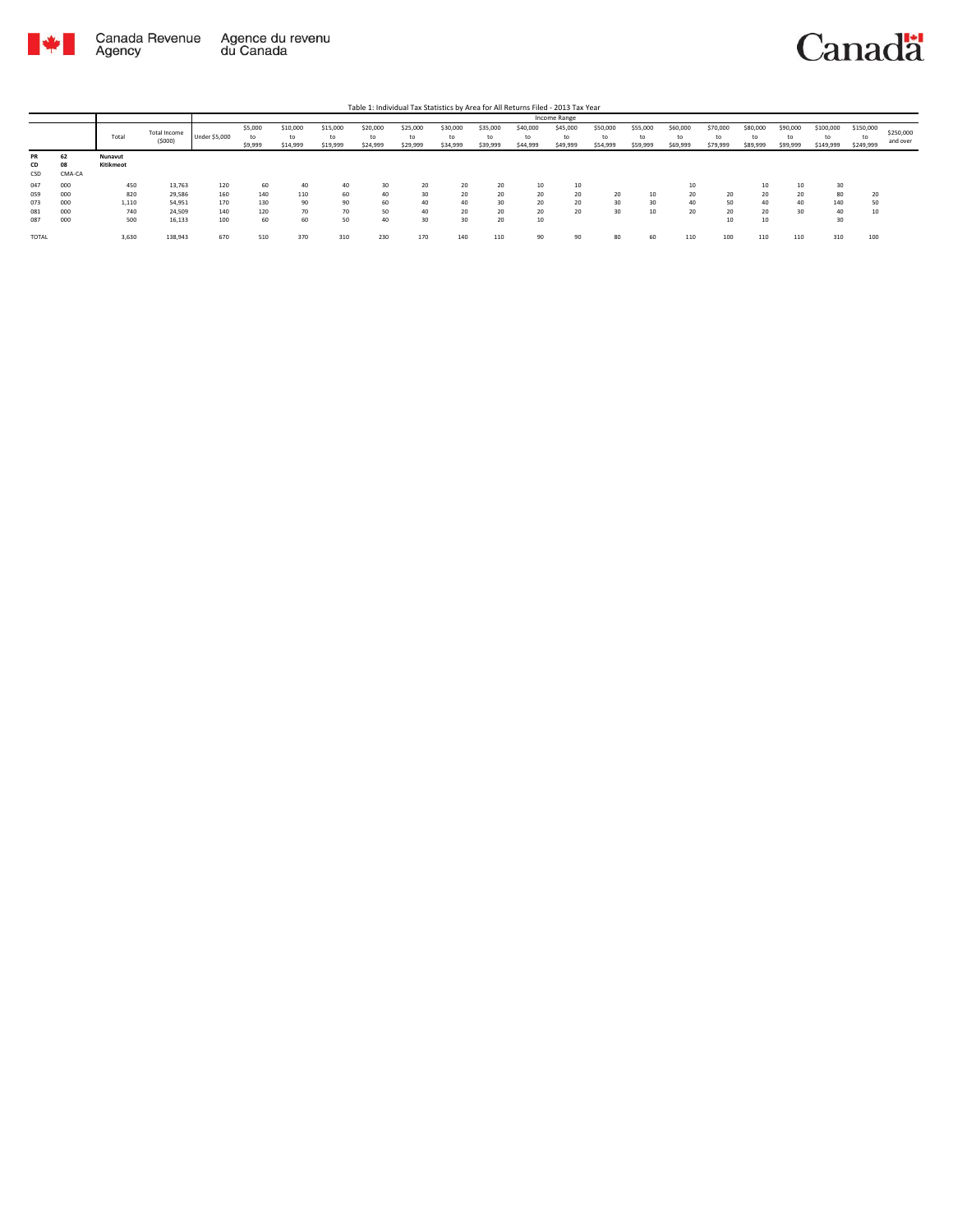

## Canadä

Table 1: Individual Tax Statistics by Area for All Returns Filed - 2013 Tax Year

|           |        |           |              |               |         |          |          |          |          |                |          |          | Income Range |                |                |                            |                            |          |          |           |                 |           |
|-----------|--------|-----------|--------------|---------------|---------|----------|----------|----------|----------|----------------|----------|----------|--------------|----------------|----------------|----------------------------|----------------------------|----------|----------|-----------|-----------------|-----------|
|           |        | Total     | Total Income |               | \$5,000 | \$10,000 | \$15,000 | \$20,000 | \$25,000 | \$30,000<br>to | \$35,000 | \$40,000 | \$45,000     | \$50,000       | \$55,000<br>to | \$60,000<br>to<br>\$69,999 | \$70,000<br>to<br>\$79,999 | \$80,000 | \$90,000 | \$100,000 | \$150,000       | \$250,000 |
|           |        |           | (5000)       | Under \$5,000 | to      | to       | to       | to       | to       |                | to       | to       |              | to<br>\$54,999 |                |                            |                            |          | to       | to        | to<br>\$249,999 | and over  |
|           |        |           |              |               | \$9,999 | \$14,999 | \$19,999 | \$24,999 | \$29,999 | \$34,999       | \$39,999 | \$44,999 | \$49,999     |                | \$59,999       |                            |                            | \$89,999 | \$99,999 | \$149,999 |                 |           |
| <b>PR</b> | 62     | Nunavut   |              |               |         |          |          |          |          |                |          |          |              |                |                |                            |                            |          |          |           |                 |           |
| CD        | 08     | Kitikmeot |              |               |         |          |          |          |          |                |          |          |              |                |                |                            |                            |          |          |           |                 |           |
| CSD       | CMA-CA |           |              |               |         |          |          |          |          |                |          |          |              |                |                |                            |                            |          |          |           |                 |           |
| 047       | 000    | 450       | 13,763       | 120           | 60      | 40       | 40       | 30       | 20       | 20             | 20       | 10       | 10           |                |                |                            |                            | 10       | 10       | 30        |                 |           |
| 059       | 000    | 820       | 29,586       | 160           | 140     | 110      | 60       | 40       | 30       | 20             | 20       | 20       | 20           | 20             | 10             | 20                         | 20                         | 20       | 20       | 80        | 20              |           |
| 073       | 000    | 1,110     | 54,951       | 170           | 130     | 90       | 90       | 60       | 40       | 40             | 30       | 20       | 20           | 30             | 30             | 40                         | 50                         | 40       | 40       | 140       | 50              |           |
| 081       | 000    | 740       | 24,509       | 140           | 120     | 70       | 70       | 50       | 40       | 20             | 20       | 20       | 20           | 30             | 10             | 20                         | 20                         | 20       | 30       | 40        | 10              |           |
| 087       | 000    | 500       | 16,133       | 100           | 60      | 60       | 50       | 40       | 30       | 30             | 20       | 10       |              |                |                |                            | 10                         | 10       |          | 30        |                 |           |
| TOTAL     |        | 3,630     | 138,943      | 670           | 510     | 370      | 310      | 230      | 170      | 140            | 110      | 90       | $\Omega$     | 80             | 60             | 110                        | 100                        | 110      | 110      | 310       | 100             |           |